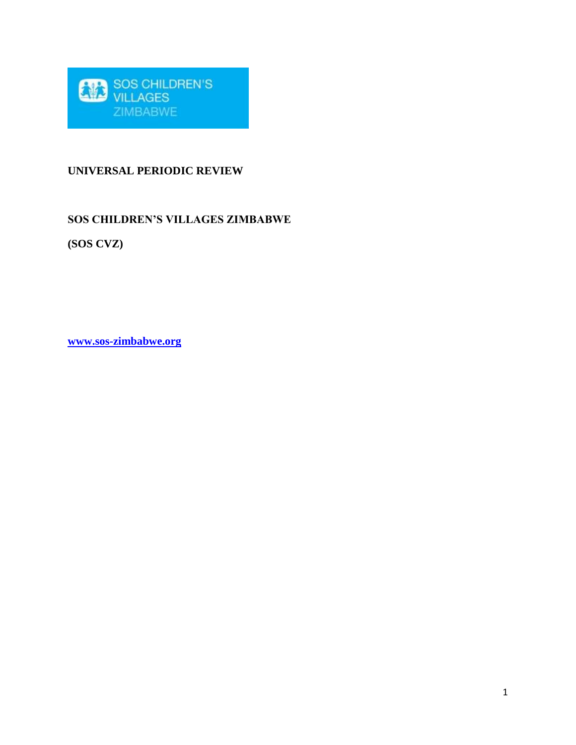

# **UNIVERSAL PERIODIC REVIEW**

# **SOS CHILDREN'S VILLAGES ZIMBABWE**

**(SOS CVZ)**

**[www.sos-zimbabwe.org](http://www.sos-zimbabwe.org/)**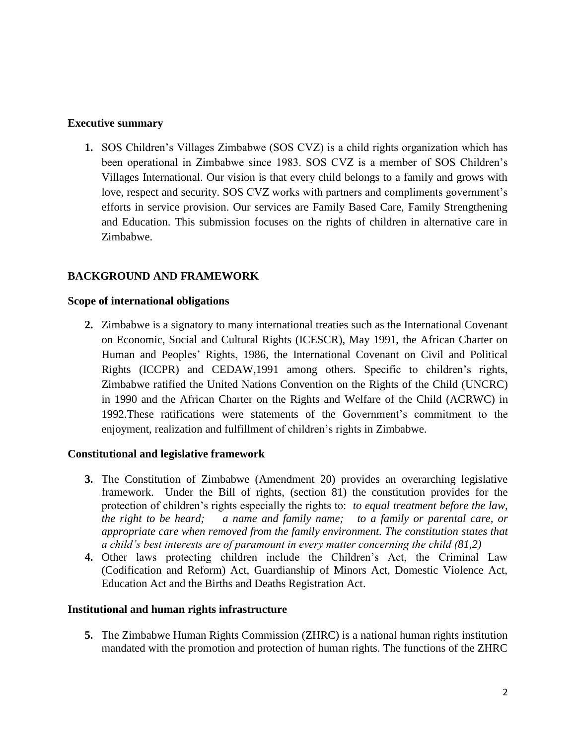### **Executive summary**

**1.** SOS Children's Villages Zimbabwe (SOS CVZ) is a child rights organization which has been operational in Zimbabwe since 1983. SOS CVZ is a member of SOS Children's Villages International. Our vision is that every child belongs to a family and grows with love, respect and security. SOS CVZ works with partners and compliments government's efforts in service provision. Our services are Family Based Care, Family Strengthening and Education. This submission focuses on the rights of children in alternative care in Zimbabwe.

## **BACKGROUND AND FRAMEWORK**

#### **Scope of international obligations**

**2.** Zimbabwe is a signatory to many international treaties such as the International Covenant on Economic, Social and Cultural Rights (ICESCR), May 1991, the African Charter on Human and Peoples' Rights, 1986, the International Covenant on Civil and Political Rights (ICCPR) and CEDAW,1991 among others. Specific to children's rights, Zimbabwe ratified the United Nations Convention on the Rights of the Child (UNCRC) in 1990 and the African Charter on the Rights and Welfare of the Child (ACRWC) in 1992.These ratifications were statements of the Government's commitment to the enjoyment, realization and fulfillment of children's rights in Zimbabwe.

### **Constitutional and legislative framework**

- **3.** The Constitution of Zimbabwe (Amendment 20) provides an overarching legislative framework. Under the Bill of rights, (section 81) the constitution provides for the protection of children's rights especially the rights to: *to equal treatment before the law, the right to be heard; a name and family name; to a family or parental care, or appropriate care when removed from the family environment. The constitution states that a child's best interests are of paramount in every matter concerning the child (81,2)*
- **4.** Other laws protecting children include the Children's Act, the Criminal Law (Codification and Reform) Act, Guardianship of Minors Act, Domestic Violence Act, Education Act and the Births and Deaths Registration Act.

#### **Institutional and human rights infrastructure**

**5.** The Zimbabwe Human Rights Commission (ZHRC) is a national human rights institution mandated with the promotion and protection of human rights. The functions of the ZHRC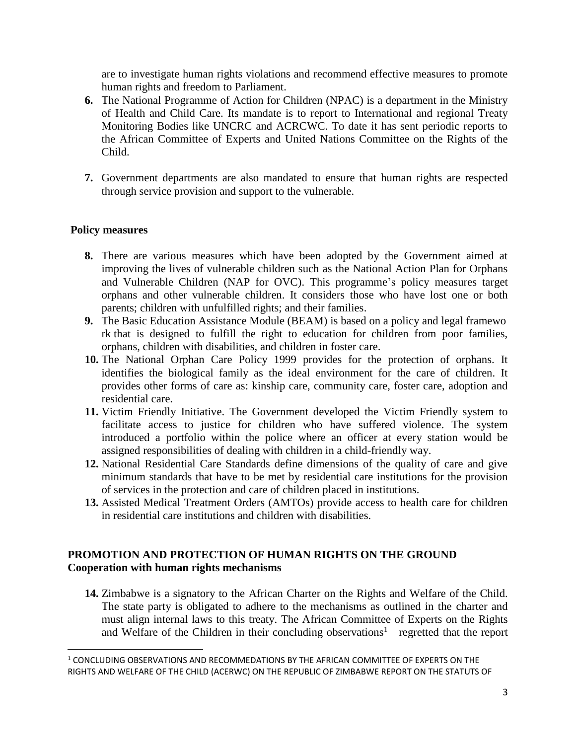are to investigate human rights violations and recommend effective measures to promote human rights and freedom to Parliament.

- **6.** The National Programme of Action for Children (NPAC) is a department in the Ministry of Health and Child Care. Its mandate is to report to International and regional Treaty Monitoring Bodies like UNCRC and ACRCWC. To date it has sent periodic reports to the African Committee of Experts and United Nations Committee on the Rights of the Child.
- **7.** Government departments are also mandated to ensure that human rights are respected through service provision and support to the vulnerable.

### **Policy measures**

l

- **8.** There are various measures which have been adopted by the Government aimed at improving the lives of vulnerable children such as the National Action Plan for Orphans and Vulnerable Children (NAP for OVC). This programme's policy measures target orphans and other vulnerable children. It considers those who have lost one or both parents; children with unfulfilled rights; and their families.
- **9.** The Basic Education Assistance Module (BEAM) is based on a policy and legal framewo rk that is designed to fulfill the right to education for children from poor families, orphans, children with disabilities, and children in foster care.
- **10.** The National Orphan Care Policy 1999 provides for the protection of orphans. It identifies the biological family as the ideal environment for the care of children. It provides other forms of care as: kinship care, community care, foster care, adoption and residential care.
- **11.** Victim Friendly Initiative. The Government developed the Victim Friendly system to facilitate access to justice for children who have suffered violence. The system introduced a portfolio within the police where an officer at every station would be assigned responsibilities of dealing with children in a child-friendly way.
- **12.** National Residential Care Standards define dimensions of the quality of care and give minimum standards that have to be met by residential care institutions for the provision of services in the protection and care of children placed in institutions.
- **13.** Assisted Medical Treatment Orders (AMTOs) provide access to health care for children in residential care institutions and children with disabilities.

### **PROMOTION AND PROTECTION OF HUMAN RIGHTS ON THE GROUND Cooperation with human rights mechanisms**

**14.** Zimbabwe is a signatory to the African Charter on the Rights and Welfare of the Child. The state party is obligated to adhere to the mechanisms as outlined in the charter and must align internal laws to this treaty. The African Committee of Experts on the Rights and Welfare of the Children in their concluding observations<sup>1</sup> regretted that the report

<sup>1</sup> CONCLUDING OBSERVATIONS AND RECOMMEDATIONS BY THE AFRICAN COMMITTEE OF EXPERTS ON THE RIGHTS AND WELFARE OF THE CHILD (ACERWC) ON THE REPUBLIC OF ZIMBABWE REPORT ON THE STATUTS OF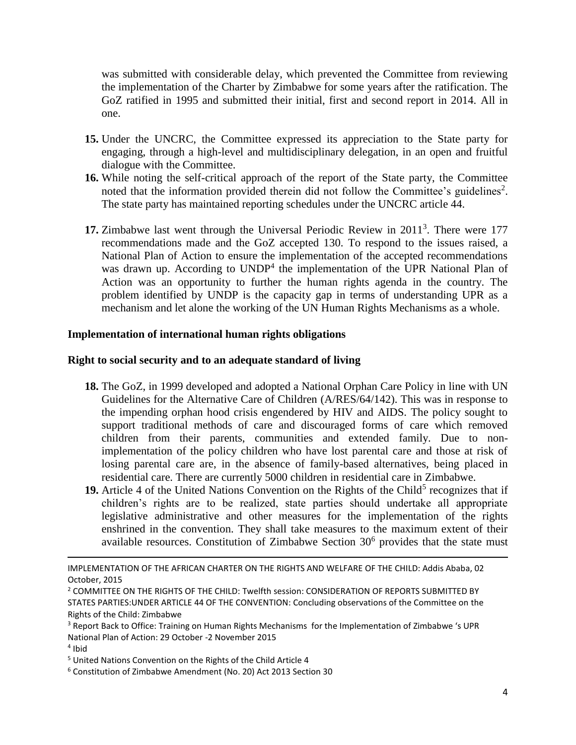was submitted with considerable delay, which prevented the Committee from reviewing the implementation of the Charter by Zimbabwe for some years after the ratification. The GoZ ratified in 1995 and submitted their initial, first and second report in 2014. All in one.

- **15.** Under the UNCRC, the Committee expressed its appreciation to the State party for engaging, through a high-level and multidisciplinary delegation, in an open and fruitful dialogue with the Committee.
- **16.** While noting the self-critical approach of the report of the State party, the Committee noted that the information provided therein did not follow the Committee's guidelines<sup>2</sup>. The state party has maintained reporting schedules under the UNCRC article 44.
- 17. Zimbabwe last went through the Universal Periodic Review in 2011<sup>3</sup>. There were 177 recommendations made and the GoZ accepted 130. To respond to the issues raised, a National Plan of Action to ensure the implementation of the accepted recommendations was drawn up. According to UNDP<sup>4</sup> the implementation of the UPR National Plan of Action was an opportunity to further the human rights agenda in the country. The problem identified by UNDP is the capacity gap in terms of understanding UPR as a mechanism and let alone the working of the UN Human Rights Mechanisms as a whole.

### **Implementation of international human rights obligations**

#### **Right to social security and to an adequate standard of living**

- **18.** The GoZ, in 1999 developed and adopted a National Orphan Care Policy in line with UN Guidelines for the Alternative Care of Children (A/RES/64/142). This was in response to the impending orphan hood crisis engendered by HIV and AIDS. The policy sought to support traditional methods of care and discouraged forms of care which removed children from their parents, communities and extended family. Due to nonimplementation of the policy children who have lost parental care and those at risk of losing parental care are, in the absence of family-based alternatives, being placed in residential care. There are currently 5000 children in residential care in Zimbabwe.
- 19. Article 4 of the United Nations Convention on the Rights of the Child<sup>5</sup> recognizes that if children's rights are to be realized, state parties should undertake all appropriate legislative administrative and other measures for the implementation of the rights enshrined in the convention. They shall take measures to the maximum extent of their available resources. Constitution of Zimbabwe Section  $30<sup>6</sup>$  provides that the state must

4 Ibid

 $\overline{\phantom{a}}$ 

IMPLEMENTATION OF THE AFRICAN CHARTER ON THE RIGHTS AND WELFARE OF THE CHILD: Addis Ababa, 02 October, 2015

<sup>&</sup>lt;sup>2</sup> COMMITTEE ON THE RIGHTS OF THE CHILD: Twelfth session: CONSIDERATION OF REPORTS SUBMITTED BY STATES PARTIES:UNDER ARTICLE 44 OF THE CONVENTION: Concluding observations of the Committee on the Rights of the Child: Zimbabwe

<sup>&</sup>lt;sup>3</sup> Report Back to Office: Training on Human Rights Mechanisms for the Implementation of Zimbabwe 's UPR National Plan of Action: 29 October -2 November 2015

<sup>5</sup> United Nations Convention on the Rights of the Child Article 4

<sup>6</sup> Constitution of Zimbabwe Amendment (No. 20) Act 2013 Section 30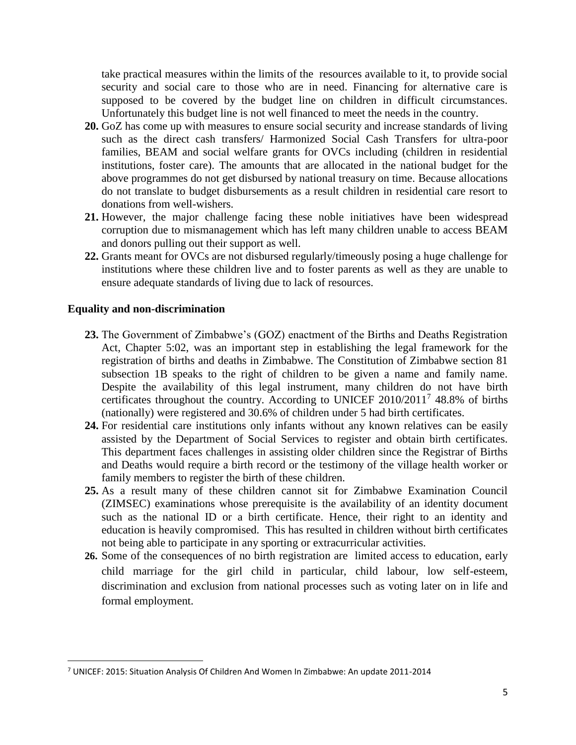take practical measures within the limits of the resources available to it, to provide social security and social care to those who are in need. Financing for alternative care is supposed to be covered by the budget line on children in difficult circumstances. Unfortunately this budget line is not well financed to meet the needs in the country.

- **20.** GoZ has come up with measures to ensure social security and increase standards of living such as the direct cash transfers/ Harmonized Social Cash Transfers for ultra-poor families, BEAM and social welfare grants for OVCs including (children in residential institutions, foster care). The amounts that are allocated in the national budget for the above programmes do not get disbursed by national treasury on time. Because allocations do not translate to budget disbursements as a result children in residential care resort to donations from well-wishers.
- **21.** However, the major challenge facing these noble initiatives have been widespread corruption due to mismanagement which has left many children unable to access BEAM and donors pulling out their support as well.
- **22.** Grants meant for OVCs are not disbursed regularly/timeously posing a huge challenge for institutions where these children live and to foster parents as well as they are unable to ensure adequate standards of living due to lack of resources.

## **Equality and non-discrimination**

 $\overline{\phantom{a}}$ 

- **23.** The Government of Zimbabwe's (GOZ) enactment of the Births and Deaths Registration Act, Chapter 5:02, was an important step in establishing the legal framework for the registration of births and deaths in Zimbabwe. The Constitution of Zimbabwe section 81 subsection 1B speaks to the right of children to be given a name and family name. Despite the availability of this legal instrument, many children do not have birth certificates throughout the country. According to UNICEF 2010/2011<sup>7</sup> 48.8% of births (nationally) were registered and 30.6% of children under 5 had birth certificates.
- **24.** For residential care institutions only infants without any known relatives can be easily assisted by the Department of Social Services to register and obtain birth certificates. This department faces challenges in assisting older children since the Registrar of Births and Deaths would require a birth record or the testimony of the village health worker or family members to register the birth of these children.
- **25.** As a result many of these children cannot sit for Zimbabwe Examination Council (ZIMSEC) examinations whose prerequisite is the availability of an identity document such as the national ID or a birth certificate. Hence, their right to an identity and education is heavily compromised. This has resulted in children without birth certificates not being able to participate in any sporting or extracurricular activities.
- **26.** Some of the consequences of no birth registration are limited access to education, early child marriage for the girl child in particular, child labour, low self-esteem, discrimination and exclusion from national processes such as voting later on in life and formal employment.

<sup>7</sup> UNICEF: 2015: Situation Analysis Of Children And Women In Zimbabwe: An update 2011-2014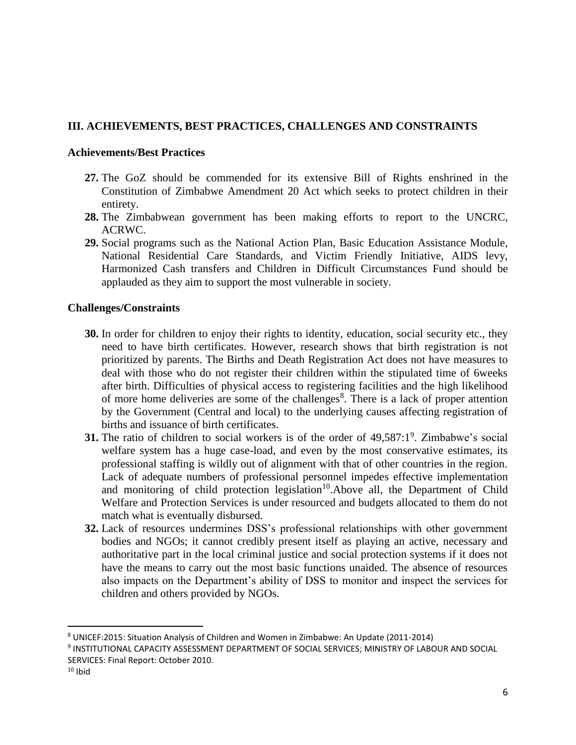# **III. ACHIEVEMENTS, BEST PRACTICES, CHALLENGES AND CONSTRAINTS**

### **Achievements/Best Practices**

- **27.** The GoZ should be commended for its extensive Bill of Rights enshrined in the Constitution of Zimbabwe Amendment 20 Act which seeks to protect children in their entirety.
- **28.** The Zimbabwean government has been making efforts to report to the UNCRC, ACRWC.
- **29.** Social programs such as the National Action Plan, Basic Education Assistance Module, National Residential Care Standards, and Victim Friendly Initiative, AIDS levy, Harmonized Cash transfers and Children in Difficult Circumstances Fund should be applauded as they aim to support the most vulnerable in society.

## **Challenges/Constraints**

- **30.** In order for children to enjoy their rights to identity, education, social security etc., they need to have birth certificates. However, research shows that birth registration is not prioritized by parents. The Births and Death Registration Act does not have measures to deal with those who do not register their children within the stipulated time of 6weeks after birth. Difficulties of physical access to registering facilities and the high likelihood of more home deliveries are some of the challenges<sup>8</sup>. There is a lack of proper attention by the Government (Central and local) to the underlying causes affecting registration of births and issuance of birth certificates.
- **31.** The ratio of children to social workers is of the order of 49,587:1<sup>9</sup>. Zimbabwe's social welfare system has a huge case-load, and even by the most conservative estimates, its professional staffing is wildly out of alignment with that of other countries in the region. Lack of adequate numbers of professional personnel impedes effective implementation and monitoring of child protection legislation<sup>10</sup>. Above all, the Department of Child Welfare and Protection Services is under resourced and budgets allocated to them do not match what is eventually disbursed.
- **32.** Lack of resources undermines DSS's professional relationships with other government bodies and NGOs; it cannot credibly present itself as playing an active, necessary and authoritative part in the local criminal justice and social protection systems if it does not have the means to carry out the most basic functions unaided. The absence of resources also impacts on the Department's ability of DSS to monitor and inspect the services for children and others provided by NGOs.

 $\overline{a}$ 

<sup>8</sup> UNICEF:2015: Situation Analysis of Children and Women in Zimbabwe: An Update (2011-2014)

<sup>9</sup> INSTITUTIONAL CAPACITY ASSESSMENT DEPARTMENT OF SOCIAL SERVICES; MINISTRY OF LABOUR AND SOCIAL SERVICES: Final Report: October 2010.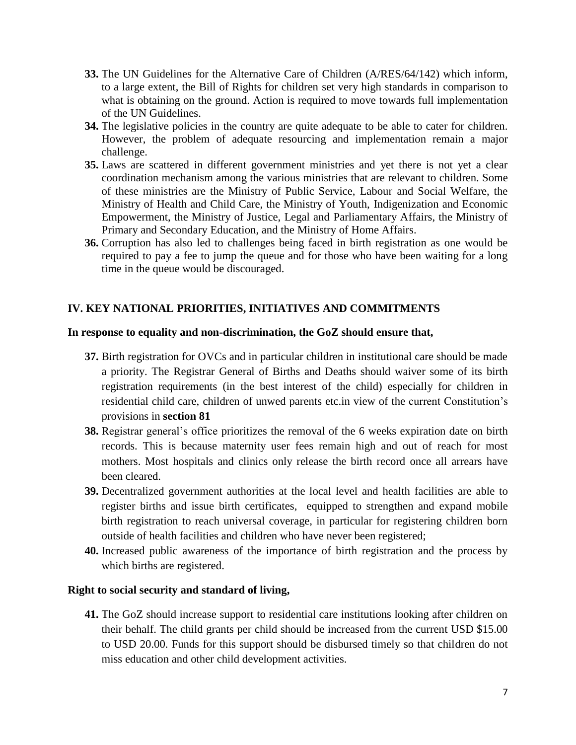- **33.** The UN Guidelines for the Alternative Care of Children (A/RES/64/142) which inform, to a large extent, the Bill of Rights for children set very high standards in comparison to what is obtaining on the ground. Action is required to move towards full implementation of the UN Guidelines.
- **34.** The legislative policies in the country are quite adequate to be able to cater for children. However, the problem of adequate resourcing and implementation remain a major challenge.
- **35.** Laws are scattered in different government ministries and yet there is not yet a clear coordination mechanism among the various ministries that are relevant to children. Some of these ministries are the Ministry of Public Service, Labour and Social Welfare, the Ministry of Health and Child Care, the Ministry of Youth, Indigenization and Economic Empowerment, the Ministry of Justice, Legal and Parliamentary Affairs, the Ministry of Primary and Secondary Education, and the Ministry of Home Affairs.
- **36.** Corruption has also led to challenges being faced in birth registration as one would be required to pay a fee to jump the queue and for those who have been waiting for a long time in the queue would be discouraged.

# **IV. KEY NATIONAL PRIORITIES, INITIATIVES AND COMMITMENTS**

## **In response to equality and non-discrimination, the GoZ should ensure that,**

- **37.** Birth registration for OVCs and in particular children in institutional care should be made a priority. The Registrar General of Births and Deaths should waiver some of its birth registration requirements (in the best interest of the child) especially for children in residential child care, children of unwed parents etc.in view of the current Constitution's provisions in **section 81**
- **38.** Registrar general's office prioritizes the removal of the 6 weeks expiration date on birth records. This is because maternity user fees remain high and out of reach for most mothers. Most hospitals and clinics only release the birth record once all arrears have been cleared.
- **39.** Decentralized government authorities at the local level and health facilities are able to register births and issue birth certificates, equipped to strengthen and expand mobile birth registration to reach universal coverage, in particular for registering children born outside of health facilities and children who have never been registered;
- **40.** Increased public awareness of the importance of birth registration and the process by which births are registered.

# **Right to social security and standard of living,**

**41.** The GoZ should increase support to residential care institutions looking after children on their behalf. The child grants per child should be increased from the current USD \$15.00 to USD 20.00. Funds for this support should be disbursed timely so that children do not miss education and other child development activities.